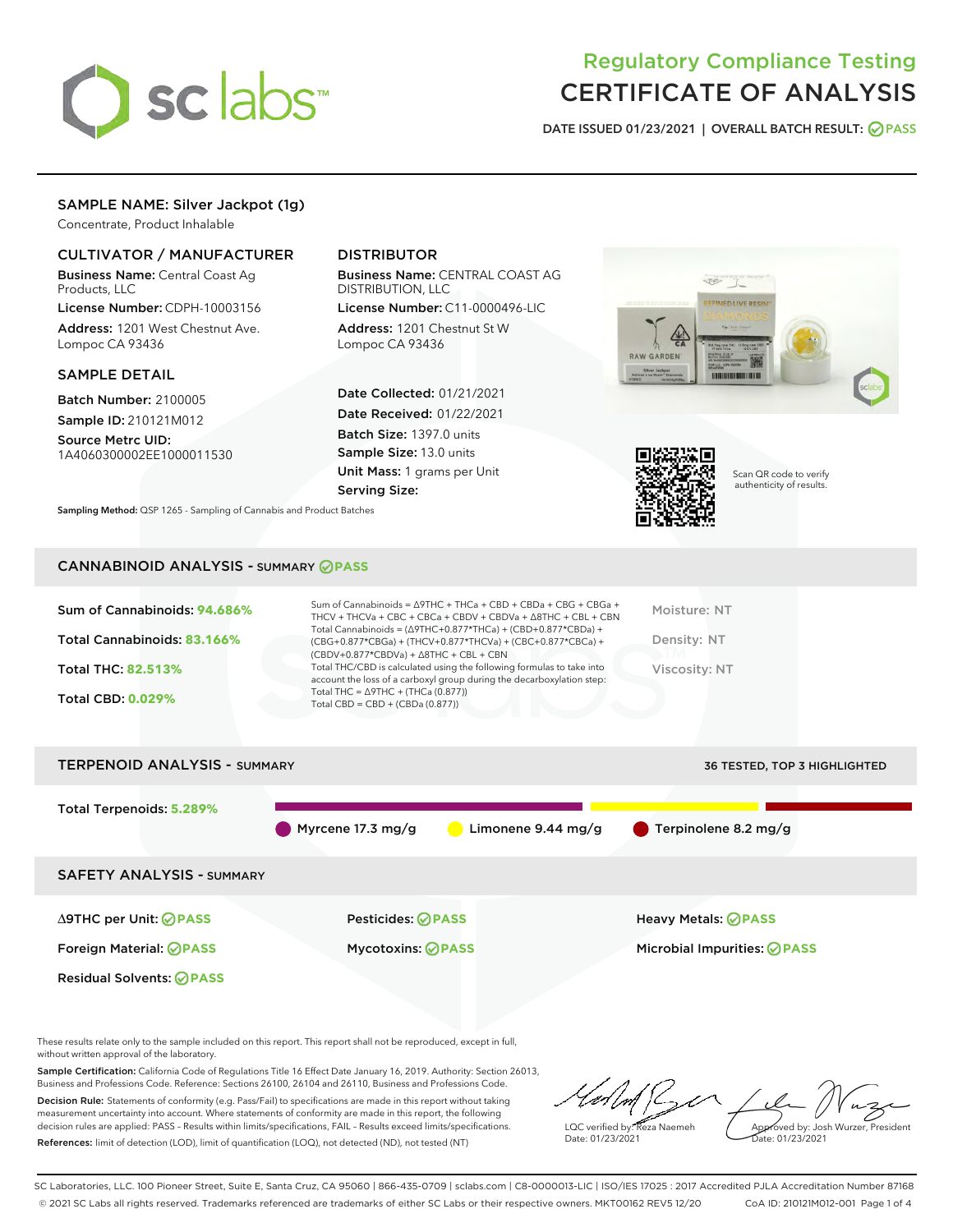

# Regulatory Compliance Testing CERTIFICATE OF ANALYSIS

DATE ISSUED 01/23/2021 | OVERALL BATCH RESULT: @ PASS

# SAMPLE NAME: Silver Jackpot (1g)

Concentrate, Product Inhalable

# CULTIVATOR / MANUFACTURER

Business Name: Central Coast Ag Products, LLC

License Number: CDPH-10003156 Address: 1201 West Chestnut Ave. Lompoc CA 93436

# SAMPLE DETAIL

Batch Number: 2100005 Sample ID: 210121M012

Source Metrc UID: 1A4060300002EE1000011530

# DISTRIBUTOR

Business Name: CENTRAL COAST AG DISTRIBUTION, LLC

License Number: C11-0000496-LIC Address: 1201 Chestnut St W Lompoc CA 93436

Date Collected: 01/21/2021 Date Received: 01/22/2021 Batch Size: 1397.0 units Sample Size: 13.0 units Unit Mass: 1 grams per Unit Serving Size:





Scan QR code to verify authenticity of results.

CANNABINOID ANALYSIS - SUMMARY **PASS**

Sampling Method: QSP 1265 - Sampling of Cannabis and Product Batches

| Sum of Cannabinoids: 94.686%<br>Total Cannabinoids: 83.166%<br><b>Total THC: 82.513%</b><br><b>Total CBD: 0.029%</b> | Sum of Cannabinoids = $\triangle$ 9THC + THCa + CBD + CBDa + CBG + CBGa +<br>THCV + THCVa + CBC + CBCa + CBDV + CBDVa + $\land$ 8THC + CBL + CBN<br>Total Cannabinoids = $(\Delta 9THC+0.877*THCa) + (CBD+0.877*CBDa) +$<br>$(CBG+0.877*CBGa) + (THCV+0.877*THCVa) + (CBC+0.877*CBCa) +$<br>$(CBDV+0.877*CBDVa) + \Delta 8THC + CBL + CBN$<br>Total THC/CBD is calculated using the following formulas to take into<br>account the loss of a carboxyl group during the decarboxylation step:<br>Total THC = $\triangle$ 9THC + (THCa (0.877))<br>Total CBD = CBD + (CBDa (0.877)) | Moisture: NT<br>Density: NT<br>Viscosity: NT |
|----------------------------------------------------------------------------------------------------------------------|-----------------------------------------------------------------------------------------------------------------------------------------------------------------------------------------------------------------------------------------------------------------------------------------------------------------------------------------------------------------------------------------------------------------------------------------------------------------------------------------------------------------------------------------------------------------------------------|----------------------------------------------|
|                                                                                                                      |                                                                                                                                                                                                                                                                                                                                                                                                                                                                                                                                                                                   |                                              |
| <b>TERPENOID ANALYSIS - SUMMARY</b>                                                                                  |                                                                                                                                                                                                                                                                                                                                                                                                                                                                                                                                                                                   | <b>36 TESTED, TOP 3 HIGHLIGHTED</b>          |

Total Terpenoids: **5.289%** Myrcene 17.3 mg/g CLimonene 9.44 mg/g C Terpinolene 8.2 mg/g SAFETY ANALYSIS - SUMMARY ∆9THC per Unit: **PASS** Pesticides: **PASS** Heavy Metals: **PASS** Foreign Material: **PASS** Mycotoxins: **PASS** Microbial Impurities: **PASS** Residual Solvents: **OPASS** 

These results relate only to the sample included on this report. This report shall not be reproduced, except in full, without written approval of the laboratory.

Sample Certification: California Code of Regulations Title 16 Effect Date January 16, 2019. Authority: Section 26013, Business and Professions Code. Reference: Sections 26100, 26104 and 26110, Business and Professions Code.

Decision Rule: Statements of conformity (e.g. Pass/Fail) to specifications are made in this report without taking measurement uncertainty into account. Where statements of conformity are made in this report, the following decision rules are applied: PASS – Results within limits/specifications, FAIL – Results exceed limits/specifications. References: limit of detection (LOD), limit of quantification (LOQ), not detected (ND), not tested (NT)

LQC verified by: Reza Naemeh Date: 01/23/2021 Approved by: Josh Wurzer, President Date: 01/23/2021

SC Laboratories, LLC. 100 Pioneer Street, Suite E, Santa Cruz, CA 95060 | 866-435-0709 | sclabs.com | C8-0000013-LIC | ISO/IES 17025 : 2017 Accredited PJLA Accreditation Number 87168 © 2021 SC Labs all rights reserved. Trademarks referenced are trademarks of either SC Labs or their respective owners. MKT00162 REV5 12/20 CoA ID: 210121M012-001 Page 1 of 4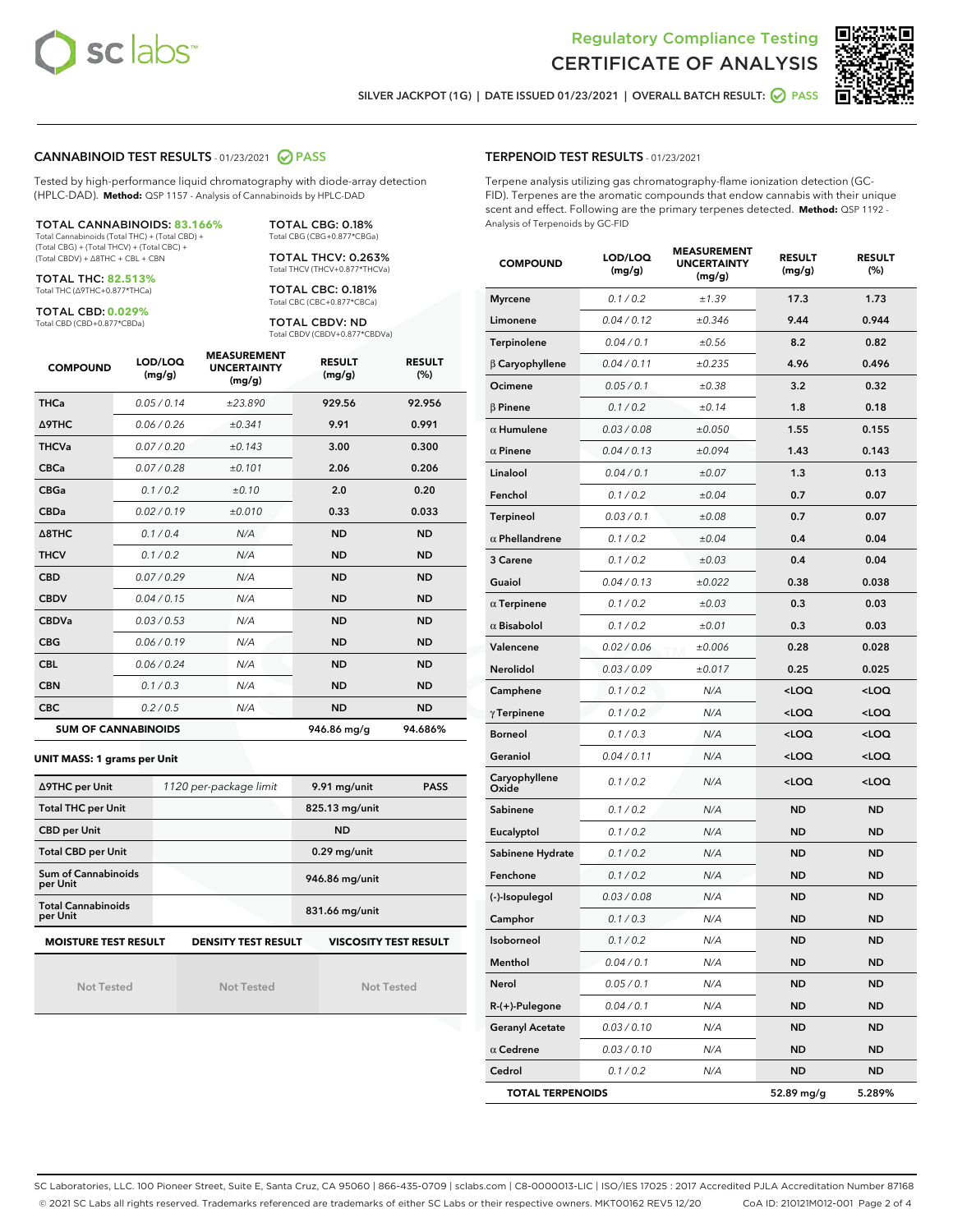



SILVER JACKPOT (1G) | DATE ISSUED 01/23/2021 | OVERALL BATCH RESULT: @ PASS

# CANNABINOID TEST RESULTS - 01/23/2021 2 PASS

Tested by high-performance liquid chromatography with diode-array detection (HPLC-DAD). **Method:** QSP 1157 - Analysis of Cannabinoids by HPLC-DAD

TOTAL CANNABINOIDS: **83.166%** Total Cannabinoids (Total THC) + (Total CBD) + (Total CBG) + (Total THCV) + (Total CBC) + (Total CBDV) + ∆8THC + CBL + CBN

TOTAL THC: **82.513%**

Total THC (∆9THC+0.877\*THCa)

TOTAL CBD: **0.029%** Total CBD (CBD+0.877\*CBDa)

TOTAL THCV: 0.263% Total THCV (THCV+0.877\*THCVa) TOTAL CBC: 0.181% Total CBC (CBC+0.877\*CBCa)

TOTAL CBG: 0.18% Total CBG (CBG+0.877\*CBGa)

TOTAL CBDV: ND Total CBDV (CBDV+0.877\*CBDVa)

| <b>COMPOUND</b>  | LOD/LOQ<br>(mg/g)          | <b>MEASUREMENT</b><br><b>UNCERTAINTY</b><br>(mg/g) | <b>RESULT</b><br>(mg/g) | <b>RESULT</b><br>(%) |
|------------------|----------------------------|----------------------------------------------------|-------------------------|----------------------|
| <b>THCa</b>      | 0.05 / 0.14                | ±23.890                                            | 929.56                  | 92.956               |
| <b>A9THC</b>     | 0.06 / 0.26                | ±0.341                                             | 9.91                    | 0.991                |
| <b>THCVa</b>     | 0.07 / 0.20                | ±0.143                                             | 3.00                    | 0.300                |
| <b>CBCa</b>      | 0.07 / 0.28                | ±0.101                                             | 2.06                    | 0.206                |
| <b>CBGa</b>      | 0.1/0.2                    | ±0.10                                              | 2.0                     | 0.20                 |
| <b>CBDa</b>      | 0.02/0.19                  | ±0.010                                             | 0.33                    | 0.033                |
| $\triangle$ 8THC | 0.1 / 0.4                  | N/A                                                | <b>ND</b>               | <b>ND</b>            |
| <b>THCV</b>      | 0.1/0.2                    | N/A                                                | <b>ND</b>               | <b>ND</b>            |
| <b>CBD</b>       | 0.07/0.29                  | N/A                                                | <b>ND</b>               | <b>ND</b>            |
| <b>CBDV</b>      | 0.04 / 0.15                | N/A                                                | <b>ND</b>               | <b>ND</b>            |
| <b>CBDVa</b>     | 0.03/0.53                  | N/A                                                | <b>ND</b>               | <b>ND</b>            |
| <b>CBG</b>       | 0.06/0.19                  | N/A                                                | <b>ND</b>               | <b>ND</b>            |
| <b>CBL</b>       | 0.06 / 0.24                | N/A                                                | <b>ND</b>               | <b>ND</b>            |
| <b>CBN</b>       | 0.1/0.3                    | N/A                                                | <b>ND</b>               | <b>ND</b>            |
| <b>CBC</b>       | 0.2 / 0.5                  | N/A                                                | <b>ND</b>               | <b>ND</b>            |
|                  | <b>SUM OF CANNABINOIDS</b> |                                                    | 946.86 mg/g             | 94.686%              |

#### **UNIT MASS: 1 grams per Unit**

| ∆9THC per Unit                                                                            | 1120 per-package limit | 9.91 mg/unit<br><b>PASS</b> |  |  |  |
|-------------------------------------------------------------------------------------------|------------------------|-----------------------------|--|--|--|
| <b>Total THC per Unit</b>                                                                 |                        | 825.13 mg/unit              |  |  |  |
| <b>CBD per Unit</b>                                                                       |                        | <b>ND</b>                   |  |  |  |
| <b>Total CBD per Unit</b>                                                                 |                        | $0.29$ mg/unit              |  |  |  |
| <b>Sum of Cannabinoids</b><br>per Unit                                                    |                        | 946.86 mg/unit              |  |  |  |
| <b>Total Cannabinoids</b><br>per Unit                                                     |                        | 831.66 mg/unit              |  |  |  |
| <b>MOISTURE TEST RESULT</b><br><b>VISCOSITY TEST RESULT</b><br><b>DENSITY TEST RESULT</b> |                        |                             |  |  |  |

Not Tested

Not Tested

Not Tested

#### TERPENOID TEST RESULTS - 01/23/2021

Terpene analysis utilizing gas chromatography-flame ionization detection (GC-FID). Terpenes are the aromatic compounds that endow cannabis with their unique scent and effect. Following are the primary terpenes detected. **Method:** QSP 1192 - Analysis of Terpenoids by GC-FID

| <b>COMPOUND</b>         | LOD/LOQ<br>(mg/g) | <b>MEASUREMENT</b><br><b>UNCERTAINTY</b><br>(mg/g) | <b>RESULT</b><br>(mg/g)                         | <b>RESULT</b><br>$(\%)$ |
|-------------------------|-------------------|----------------------------------------------------|-------------------------------------------------|-------------------------|
| <b>Myrcene</b>          | 0.1 / 0.2         | ±1.39                                              | 17.3                                            | 1.73                    |
| Limonene                | 0.04 / 0.12       | ±0.346                                             | 9.44                                            | 0.944                   |
| Terpinolene             | 0.04 / 0.1        | ±0.56                                              | 8.2                                             | 0.82                    |
| $\beta$ Caryophyllene   | 0.04 / 0.11       | ±0.235                                             | 4.96                                            | 0.496                   |
| Ocimene                 | 0.05 / 0.1        | ±0.38                                              | 3.2                                             | 0.32                    |
| $\beta$ Pinene          | 0.1 / 0.2         | ±0.14                                              | 1.8                                             | 0.18                    |
| $\alpha$ Humulene       | 0.03 / 0.08       | ±0.050                                             | 1.55                                            | 0.155                   |
| $\alpha$ Pinene         | 0.04 / 0.13       | ±0.094                                             | 1.43                                            | 0.143                   |
| Linalool                | 0.04 / 0.1        | ±0.07                                              | 1.3                                             | 0.13                    |
| Fenchol                 | 0.1 / 0.2         | ±0.04                                              | 0.7                                             | 0.07                    |
| <b>Terpineol</b>        | 0.03 / 0.1        | ±0.08                                              | 0.7                                             | 0.07                    |
| $\alpha$ Phellandrene   | 0.1 / 0.2         | ±0.04                                              | 0.4                                             | 0.04                    |
| 3 Carene                | 0.1 / 0.2         | ±0.03                                              | 0.4                                             | 0.04                    |
| Guaiol                  | 0.04 / 0.13       | ±0.022                                             | 0.38                                            | 0.038                   |
| $\alpha$ Terpinene      | 0.1 / 0.2         | ±0.03                                              | 0.3                                             | 0.03                    |
| $\alpha$ Bisabolol      | 0.1 / 0.2         | ±0.01                                              | 0.3                                             | 0.03                    |
| Valencene               | 0.02 / 0.06       | ±0.006                                             | 0.28                                            | 0.028                   |
| Nerolidol               | 0.03 / 0.09       | ±0.017                                             | 0.25                                            | 0.025                   |
| Camphene                | 0.1 / 0.2         | N/A                                                | $<$ LOQ                                         | $<$ LOQ                 |
| $\gamma$ Terpinene      | 0.1 / 0.2         | N/A                                                | 100                                             | <loq< th=""></loq<>     |
| <b>Borneol</b>          | 0.1 / 0.3         | N/A                                                | <loq< td=""><td><loq< td=""></loq<></td></loq<> | <loq< td=""></loq<>     |
| Geraniol                | 0.04 / 0.11       | N/A                                                | $<$ LOQ                                         | $<$ LOQ                 |
| Caryophyllene<br>Oxide  | 0.1 / 0.2         | N/A                                                | <loq< th=""><th><loq< th=""></loq<></th></loq<> | <loq< th=""></loq<>     |
| Sabinene                | 0.1 / 0.2         | N/A                                                | <b>ND</b>                                       | <b>ND</b>               |
| Eucalyptol              | 0.1 / 0.2         | N/A                                                | <b>ND</b>                                       | <b>ND</b>               |
| Sabinene Hydrate        | 0.1 / 0.2         | N/A                                                | <b>ND</b>                                       | <b>ND</b>               |
| Fenchone                | 0.1 / 0.2         | N/A                                                | ND                                              | ND                      |
| (-)-Isopulegol          | 0.03 / 0.08       | N/A                                                | ND                                              | ND                      |
| Camphor                 | 0.1 / 0.3         | N/A                                                | <b>ND</b>                                       | <b>ND</b>               |
| Isoborneol              | 0.1 / 0.2         | N/A                                                | <b>ND</b>                                       | <b>ND</b>               |
| Menthol                 | 0.04 / 0.1        | N/A                                                | ND                                              | ND                      |
| Nerol                   | 0.05 / 0.1        | N/A                                                | <b>ND</b>                                       | ND                      |
| R-(+)-Pulegone          | 0.04 / 0.1        | N/A                                                | ND                                              | ND                      |
| <b>Geranyl Acetate</b>  | 0.03 / 0.10       | N/A                                                | ND                                              | ND                      |
| $\alpha$ Cedrene        | 0.03 / 0.10       | N/A                                                | <b>ND</b>                                       | ND                      |
| Cedrol                  | 0.1 / 0.2         | N/A                                                | ND                                              | ND                      |
| <b>TOTAL TERPENOIDS</b> |                   |                                                    | 52.89 mg/g                                      | 5.289%                  |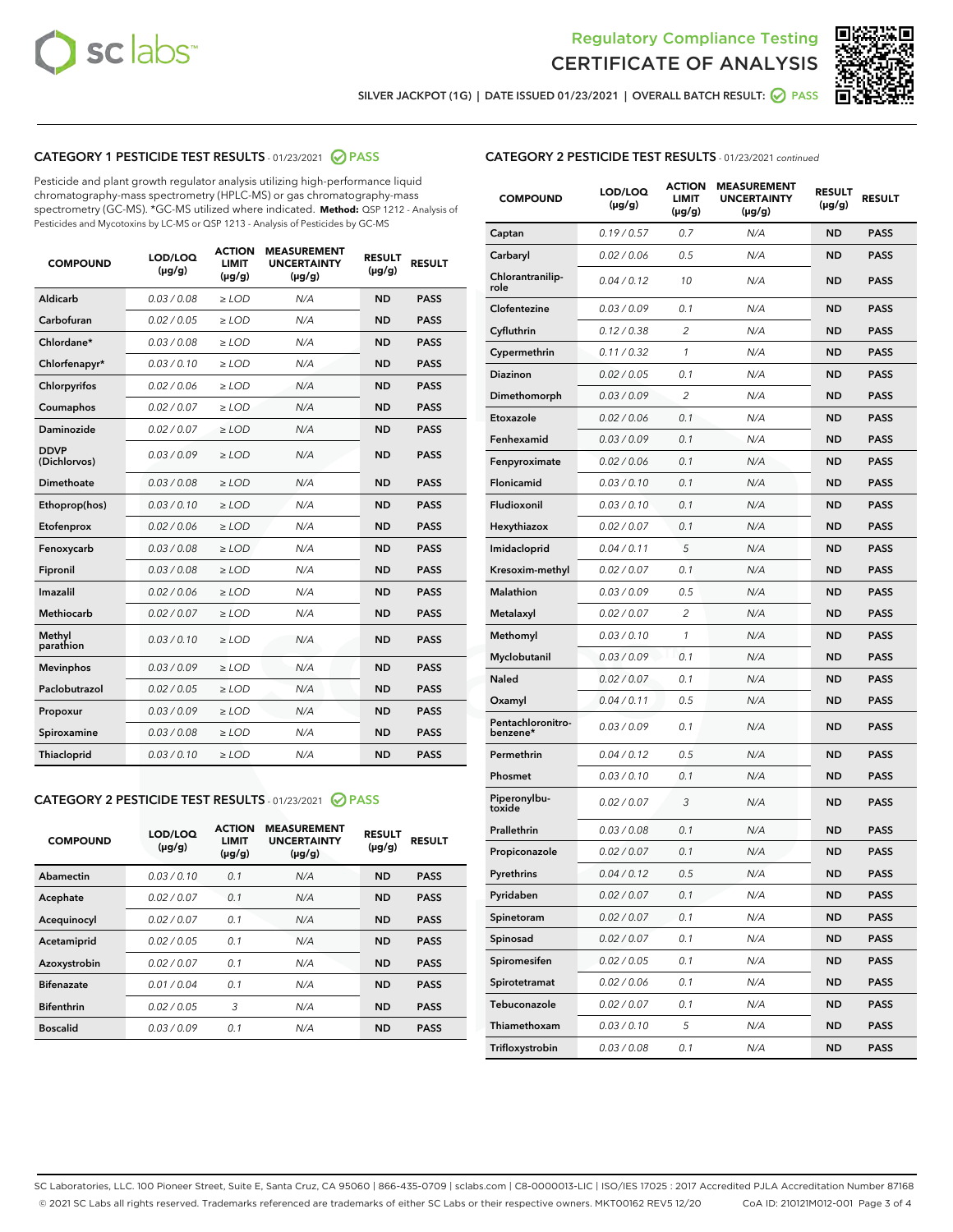



SILVER JACKPOT (1G) | DATE ISSUED 01/23/2021 | OVERALL BATCH RESULT: 2 PASS

# CATEGORY 1 PESTICIDE TEST RESULTS - 01/23/2021 2 PASS

Pesticide and plant growth regulator analysis utilizing high-performance liquid chromatography-mass spectrometry (HPLC-MS) or gas chromatography-mass spectrometry (GC-MS). \*GC-MS utilized where indicated. **Method:** QSP 1212 - Analysis of Pesticides and Mycotoxins by LC-MS or QSP 1213 - Analysis of Pesticides by GC-MS

| <b>COMPOUND</b>             | LOD/LOQ<br>$(\mu g/g)$ | <b>ACTION</b><br><b>LIMIT</b><br>$(\mu g/g)$ | <b>MEASUREMENT</b><br><b>UNCERTAINTY</b><br>$(\mu g/g)$ | <b>RESULT</b><br>$(\mu g/g)$ | <b>RESULT</b> |
|-----------------------------|------------------------|----------------------------------------------|---------------------------------------------------------|------------------------------|---------------|
| Aldicarb                    | 0.03 / 0.08            | $\ge$ LOD                                    | N/A                                                     | <b>ND</b>                    | <b>PASS</b>   |
| Carbofuran                  | 0.02 / 0.05            | $\ge$ LOD                                    | N/A                                                     | <b>ND</b>                    | <b>PASS</b>   |
| Chlordane*                  | 0.03 / 0.08            | $\ge$ LOD                                    | N/A                                                     | <b>ND</b>                    | <b>PASS</b>   |
| Chlorfenapyr*               | 0.03/0.10              | $\ge$ LOD                                    | N/A                                                     | <b>ND</b>                    | <b>PASS</b>   |
| Chlorpyrifos                | 0.02 / 0.06            | $\ge$ LOD                                    | N/A                                                     | <b>ND</b>                    | <b>PASS</b>   |
| Coumaphos                   | 0.02 / 0.07            | $\ge$ LOD                                    | N/A                                                     | <b>ND</b>                    | <b>PASS</b>   |
| Daminozide                  | 0.02 / 0.07            | $\ge$ LOD                                    | N/A                                                     | <b>ND</b>                    | <b>PASS</b>   |
| <b>DDVP</b><br>(Dichlorvos) | 0.03/0.09              | $\ge$ LOD                                    | N/A                                                     | <b>ND</b>                    | <b>PASS</b>   |
| Dimethoate                  | 0.03 / 0.08            | $\ge$ LOD                                    | N/A                                                     | <b>ND</b>                    | <b>PASS</b>   |
| Ethoprop(hos)               | 0.03/0.10              | $\ge$ LOD                                    | N/A                                                     | <b>ND</b>                    | <b>PASS</b>   |
| Etofenprox                  | 0.02/0.06              | $>$ LOD                                      | N/A                                                     | <b>ND</b>                    | <b>PASS</b>   |
| Fenoxycarb                  | 0.03 / 0.08            | $>$ LOD                                      | N/A                                                     | <b>ND</b>                    | <b>PASS</b>   |
| Fipronil                    | 0.03 / 0.08            | $>$ LOD                                      | N/A                                                     | <b>ND</b>                    | <b>PASS</b>   |
| Imazalil                    | 0.02 / 0.06            | $\ge$ LOD                                    | N/A                                                     | <b>ND</b>                    | <b>PASS</b>   |
| <b>Methiocarb</b>           | 0.02 / 0.07            | $\ge$ LOD                                    | N/A                                                     | <b>ND</b>                    | <b>PASS</b>   |
| Methyl<br>parathion         | 0.03/0.10              | $\ge$ LOD                                    | N/A                                                     | <b>ND</b>                    | <b>PASS</b>   |
| <b>Mevinphos</b>            | 0.03/0.09              | $\ge$ LOD                                    | N/A                                                     | <b>ND</b>                    | <b>PASS</b>   |
| Paclobutrazol               | 0.02 / 0.05            | $\ge$ LOD                                    | N/A                                                     | <b>ND</b>                    | <b>PASS</b>   |
| Propoxur                    | 0.03/0.09              | $\ge$ LOD                                    | N/A                                                     | <b>ND</b>                    | <b>PASS</b>   |
| Spiroxamine                 | 0.03 / 0.08            | $\ge$ LOD                                    | N/A                                                     | <b>ND</b>                    | <b>PASS</b>   |
| Thiacloprid                 | 0.03/0.10              | $\ge$ LOD                                    | N/A                                                     | <b>ND</b>                    | <b>PASS</b>   |

# CATEGORY 2 PESTICIDE TEST RESULTS - 01/23/2021 @ PASS

| <b>COMPOUND</b>   | LOD/LOQ<br>$(\mu g/g)$ | <b>ACTION</b><br><b>LIMIT</b><br>$(\mu g/g)$ | <b>MEASUREMENT</b><br><b>UNCERTAINTY</b><br>$(\mu g/g)$ | <b>RESULT</b><br>$(\mu g/g)$ | <b>RESULT</b> |
|-------------------|------------------------|----------------------------------------------|---------------------------------------------------------|------------------------------|---------------|
| Abamectin         | 0.03/0.10              | 0.1                                          | N/A                                                     | <b>ND</b>                    | <b>PASS</b>   |
| Acephate          | 0.02/0.07              | 0.1                                          | N/A                                                     | <b>ND</b>                    | <b>PASS</b>   |
| Acequinocyl       | 0.02/0.07              | 0.1                                          | N/A                                                     | <b>ND</b>                    | <b>PASS</b>   |
| Acetamiprid       | 0.02/0.05              | 0.1                                          | N/A                                                     | <b>ND</b>                    | <b>PASS</b>   |
| Azoxystrobin      | 0.02/0.07              | 0.1                                          | N/A                                                     | <b>ND</b>                    | <b>PASS</b>   |
| <b>Bifenazate</b> | 0.01/0.04              | 0.1                                          | N/A                                                     | <b>ND</b>                    | <b>PASS</b>   |
| <b>Bifenthrin</b> | 0.02/0.05              | 3                                            | N/A                                                     | <b>ND</b>                    | <b>PASS</b>   |
| <b>Boscalid</b>   | 0.03/0.09              | 0.1                                          | N/A                                                     | <b>ND</b>                    | <b>PASS</b>   |

| <b>CATEGORY 2 PESTICIDE TEST RESULTS</b> - 01/23/2021 continued |
|-----------------------------------------------------------------|
|-----------------------------------------------------------------|

| <b>COMPOUND</b>               | <b>LOD/LOQ</b><br>$(\mu g/g)$ | <b>ACTION</b><br><b>LIMIT</b><br>$(\mu g/g)$ | <b>MEASUREMENT</b><br><b>UNCERTAINTY</b><br>(µg/g) | <b>RESULT</b><br>(µg/g) | <b>RESULT</b> |
|-------------------------------|-------------------------------|----------------------------------------------|----------------------------------------------------|-------------------------|---------------|
| Captan                        | 0.19/0.57                     | 0.7                                          | N/A                                                | <b>ND</b>               | <b>PASS</b>   |
| Carbaryl                      | 0.02 / 0.06                   | 0.5                                          | N/A                                                | ND                      | <b>PASS</b>   |
| Chlorantranilip-<br>role      | 0.04 / 0.12                   | 10                                           | N/A                                                | ND                      | <b>PASS</b>   |
| Clofentezine                  | 0.03/0.09                     | 0.1                                          | N/A                                                | ND                      | <b>PASS</b>   |
| Cyfluthrin                    | 0.12 / 0.38                   | $\overline{c}$                               | N/A                                                | ND                      | <b>PASS</b>   |
| Cypermethrin                  | 0.11 / 0.32                   | 1                                            | N/A                                                | ND                      | <b>PASS</b>   |
| <b>Diazinon</b>               | 0.02 / 0.05                   | 0.1                                          | N/A                                                | ND                      | PASS          |
| Dimethomorph                  | 0.03 / 0.09                   | 2                                            | N/A                                                | ND                      | <b>PASS</b>   |
| Etoxazole                     | 0.02 / 0.06                   | 0.1                                          | N/A                                                | ND                      | <b>PASS</b>   |
| Fenhexamid                    | 0.03 / 0.09                   | 0.1                                          | N/A                                                | ND                      | <b>PASS</b>   |
| Fenpyroximate                 | 0.02 / 0.06                   | 0.1                                          | N/A                                                | ND                      | <b>PASS</b>   |
| Flonicamid                    | 0.03 / 0.10                   | 0.1                                          | N/A                                                | ND                      | <b>PASS</b>   |
| Fludioxonil                   | 0.03/0.10                     | 0.1                                          | N/A                                                | ND                      | PASS          |
| Hexythiazox                   | 0.02 / 0.07                   | 0.1                                          | N/A                                                | ND                      | <b>PASS</b>   |
| Imidacloprid                  | 0.04 / 0.11                   | 5                                            | N/A                                                | ND                      | <b>PASS</b>   |
| Kresoxim-methyl               | 0.02 / 0.07                   | 0.1                                          | N/A                                                | ND                      | <b>PASS</b>   |
| <b>Malathion</b>              | 0.03 / 0.09                   | 0.5                                          | N/A                                                | ND                      | <b>PASS</b>   |
| Metalaxyl                     | 0.02 / 0.07                   | 2                                            | N/A                                                | ND                      | <b>PASS</b>   |
| Methomyl                      | 0.03 / 0.10                   | 1                                            | N/A                                                | ND                      | PASS          |
| Myclobutanil                  | 0.03 / 0.09                   | 0.1                                          | N/A                                                | ND                      | <b>PASS</b>   |
| Naled                         | 0.02 / 0.07                   | 0.1                                          | N/A                                                | ND                      | <b>PASS</b>   |
| Oxamyl                        | 0.04 / 0.11                   | 0.5                                          | N/A                                                | ND                      | PASS          |
| Pentachloronitro-<br>benzene* | 0.03 / 0.09                   | 0.1                                          | N/A                                                | ND                      | <b>PASS</b>   |
| Permethrin                    | 0.04 / 0.12                   | 0.5                                          | N/A                                                | ND                      | <b>PASS</b>   |
| Phosmet                       | 0.03/0.10                     | 0.1                                          | N/A                                                | ND                      | <b>PASS</b>   |
| Piperonylbu-<br>toxide        | 0.02 / 0.07                   | 3                                            | N/A                                                | ND                      | <b>PASS</b>   |
| Prallethrin                   | 0.03 / 0.08                   | 0.1                                          | N/A                                                | ND                      | <b>PASS</b>   |
| Propiconazole                 | 0.02 / 0.07                   | 0.1                                          | N/A                                                | ND                      | <b>PASS</b>   |
| Pyrethrins                    | 0.04 / 0.12                   | 0.5                                          | N/A                                                | ND                      | PASS          |
| Pyridaben                     | 0.02 / 0.07                   | 0.1                                          | N/A                                                | ND                      | PASS          |
| Spinetoram                    | 0.02 / 0.07                   | 0.1                                          | N/A                                                | ND                      | <b>PASS</b>   |
| Spinosad                      | 0.02 / 0.07                   | 0.1                                          | N/A                                                | ND                      | <b>PASS</b>   |
| Spiromesifen                  | 0.02 / 0.05                   | 0.1                                          | N/A                                                | ND                      | <b>PASS</b>   |
| Spirotetramat                 | 0.02 / 0.06                   | 0.1                                          | N/A                                                | ND                      | <b>PASS</b>   |
| Tebuconazole                  | 0.02 / 0.07                   | 0.1                                          | N/A                                                | ND                      | <b>PASS</b>   |
| Thiamethoxam                  | 0.03 / 0.10                   | 5                                            | N/A                                                | ND                      | <b>PASS</b>   |
| Trifloxystrobin               | 0.03 / 0.08                   | 0.1                                          | N/A                                                | ND                      | <b>PASS</b>   |